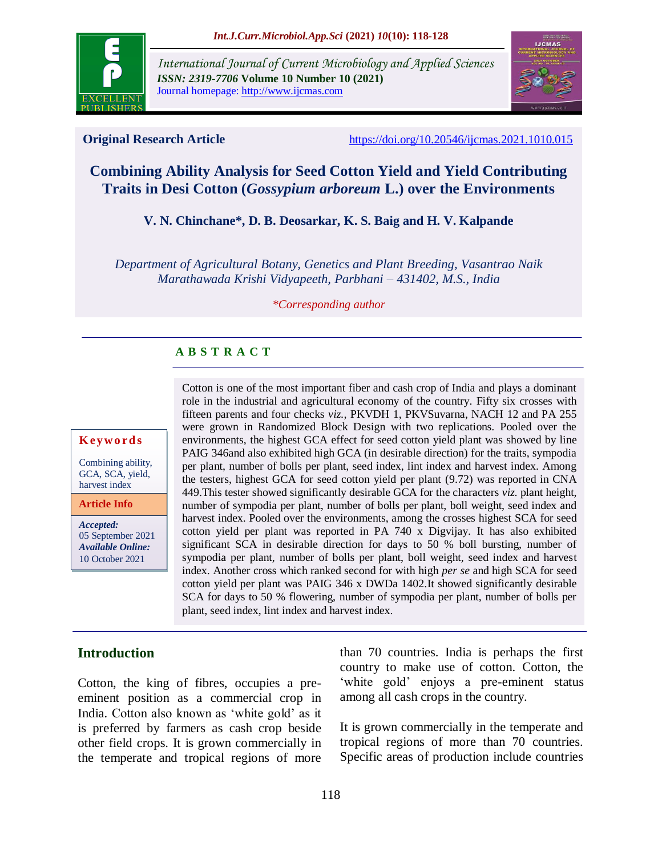

*International Journal of Current Microbiology and Applied Sciences ISSN: 2319-7706* **Volume 10 Number 10 (2021)**  Journal homepage: http://www.ijcmas.com



**Original Research Article** <https://doi.org/10.20546/ijcmas.2021.1010.015>

## **Combining Ability Analysis for Seed Cotton Yield and Yield Contributing Traits in Desi Cotton (***Gossypium arboreum* **L.) over the Environments**

#### **V. N. Chinchane\*, D. B. Deosarkar, K. S. Baig and H. V. Kalpande**

*Department of Agricultural Botany, Genetics and Plant Breeding, Vasantrao Naik Marathawada Krishi Vidyapeeth, Parbhani – 431402, M.S., India*

*\*Corresponding author*

### **A B S T R A C T**

#### **K ey w o rd s**

Combining ability, GCA, SCA, yield, harvest index

**Article Info**

*Accepted:*  05 September 2021 *Available Online:* 10 October 2021

Cotton is one of the most important fiber and cash crop of India and plays a dominant role in the industrial and agricultural economy of the country. Fifty six crosses with fifteen parents and four checks *viz.,* PKVDH 1, PKVSuvarna, NACH 12 and PA 255 were grown in Randomized Block Design with two replications. Pooled over the environments, the highest GCA effect for seed cotton yield plant was showed by line PAIG 346and also exhibited high GCA (in desirable direction) for the traits, sympodia per plant, number of bolls per plant, seed index, lint index and harvest index. Among the testers, highest GCA for seed cotton yield per plant (9.72) was reported in CNA 449.This tester showed significantly desirable GCA for the characters *viz.* plant height, number of sympodia per plant, number of bolls per plant, boll weight, seed index and harvest index. Pooled over the environments, among the crosses highest SCA for seed cotton yield per plant was reported in PA 740 x Digvijay. It has also exhibited significant SCA in desirable direction for days to 50 % boll bursting, number of sympodia per plant, number of bolls per plant, boll weight, seed index and harvest index. Another cross which ranked second for with high *per se* and high SCA for seed cotton yield per plant was PAIG 346 x DWDa 1402.It showed significantly desirable SCA for days to 50 % flowering, number of sympodia per plant, number of bolls per plant, seed index, lint index and harvest index.

## **Introduction**

Cotton, the king of fibres, occupies a preeminent position as a commercial crop in India. Cotton also known as "white gold" as it is preferred by farmers as cash crop beside other field crops. It is grown commercially in the temperate and tropical regions of more than 70 countries. India is perhaps the first country to make use of cotton. Cotton, the 'white gold' enjoys a pre-eminent status among all cash crops in the country.

It is grown commercially in the temperate and tropical regions of more than 70 countries. Specific areas of production include countries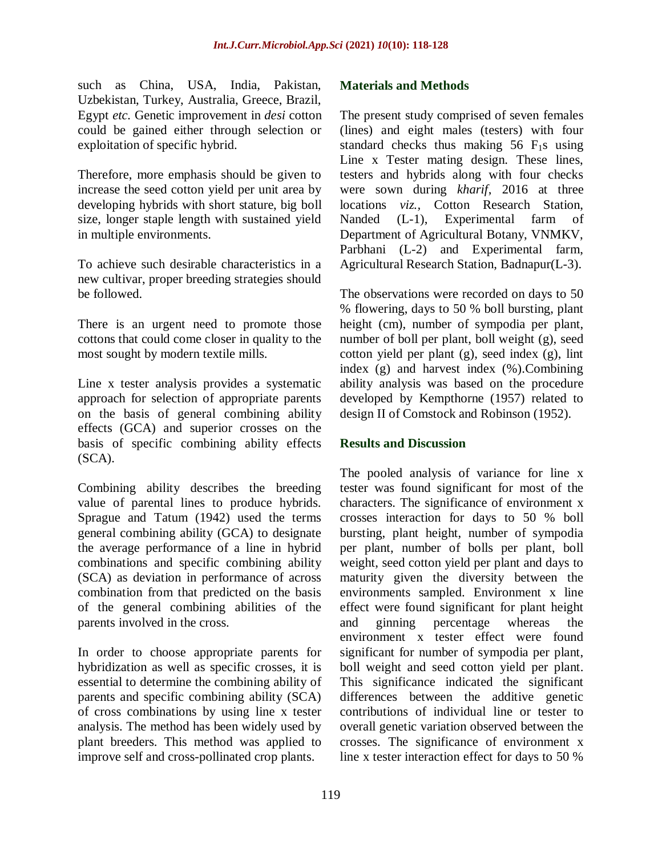such as China, USA, India, Pakistan, Uzbekistan, Turkey, Australia, Greece, Brazil, Egypt *etc.* Genetic improvement in *desi* cotton could be gained either through selection or exploitation of specific hybrid.

Therefore, more emphasis should be given to increase the seed cotton yield per unit area by developing hybrids with short stature, big boll size, longer staple length with sustained yield in multiple environments.

To achieve such desirable characteristics in a new cultivar, proper breeding strategies should be followed.

There is an urgent need to promote those cottons that could come closer in quality to the most sought by modern textile mills.

Line x tester analysis provides a systematic approach for selection of appropriate parents on the basis of general combining ability effects (GCA) and superior crosses on the basis of specific combining ability effects (SCA).

Combining ability describes the breeding value of parental lines to produce hybrids. Sprague and Tatum (1942) used the terms general combining ability (GCA) to designate the average performance of a line in hybrid combinations and specific combining ability (SCA) as deviation in performance of across combination from that predicted on the basis of the general combining abilities of the parents involved in the cross.

In order to choose appropriate parents for hybridization as well as specific crosses, it is essential to determine the combining ability of parents and specific combining ability (SCA) of cross combinations by using line x tester analysis. The method has been widely used by plant breeders. This method was applied to improve self and cross-pollinated crop plants.

#### **Materials and Methods**

The present study comprised of seven females (lines) and eight males (testers) with four standard checks thus making  $56$  F<sub>1s</sub> using Line x Tester mating design. These lines, testers and hybrids along with four checks were sown during *kharif*, 2016 at three locations *viz.,* Cotton Research Station, Nanded (L-1), Experimental farm of Department of Agricultural Botany, VNMKV, Parbhani (L-2) and Experimental farm, Agricultural Research Station, Badnapur(L-3).

The observations were recorded on days to 50 % flowering, days to 50 % boll bursting, plant height (cm), number of sympodia per plant, number of boll per plant, boll weight (g), seed cotton yield per plant (g), seed index (g), lint index (g) and harvest index (%).Combining ability analysis was based on the procedure developed by Kempthorne (1957) related to design II of Comstock and Robinson (1952).

#### **Results and Discussion**

The pooled analysis of variance for line x tester was found significant for most of the characters. The significance of environment x crosses interaction for days to 50 % boll bursting, plant height, number of sympodia per plant, number of bolls per plant, boll weight, seed cotton yield per plant and days to maturity given the diversity between the environments sampled. Environment x line effect were found significant for plant height and ginning percentage whereas the environment x tester effect were found significant for number of sympodia per plant, boll weight and seed cotton yield per plant. This significance indicated the significant differences between the additive genetic contributions of individual line or tester to overall genetic variation observed between the crosses. The significance of environment x line x tester interaction effect for days to 50 %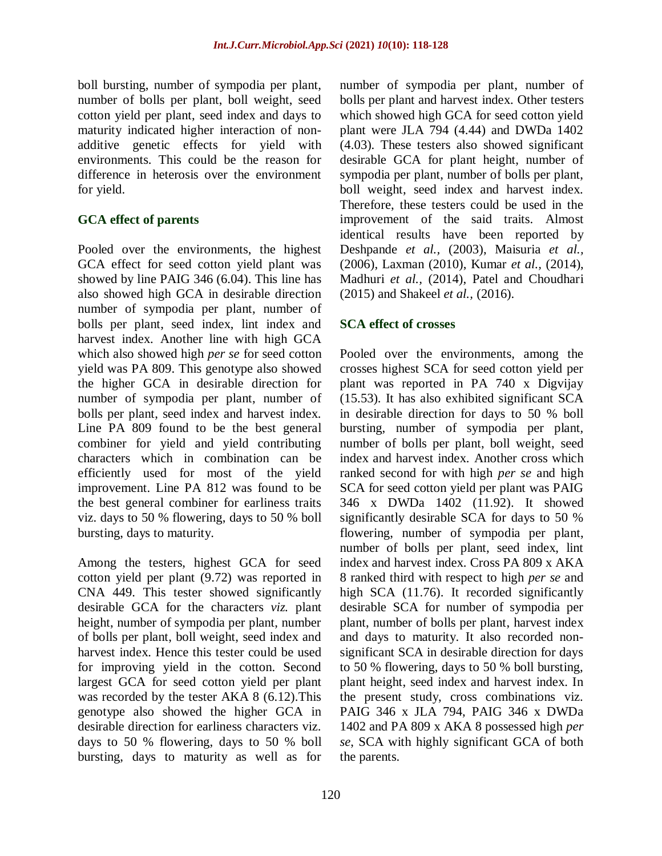boll bursting, number of sympodia per plant, number of bolls per plant, boll weight, seed cotton yield per plant, seed index and days to maturity indicated higher interaction of nonadditive genetic effects for yield with environments. This could be the reason for difference in heterosis over the environment for yield.

#### **GCA effect of parents**

Pooled over the environments, the highest GCA effect for seed cotton yield plant was showed by line PAIG 346 (6.04). This line has also showed high GCA in desirable direction number of sympodia per plant, number of bolls per plant, seed index, lint index and harvest index. Another line with high GCA which also showed high *per se* for seed cotton yield was PA 809. This genotype also showed the higher GCA in desirable direction for number of sympodia per plant, number of bolls per plant, seed index and harvest index. Line PA 809 found to be the best general combiner for yield and yield contributing characters which in combination can be efficiently used for most of the yield improvement. Line PA 812 was found to be the best general combiner for earliness traits viz. days to 50 % flowering, days to 50 % boll bursting, days to maturity.

Among the testers, highest GCA for seed cotton yield per plant (9.72) was reported in CNA 449. This tester showed significantly desirable GCA for the characters *viz.* plant height, number of sympodia per plant, number of bolls per plant, boll weight, seed index and harvest index. Hence this tester could be used for improving yield in the cotton. Second largest GCA for seed cotton yield per plant was recorded by the tester AKA 8 (6.12).This genotype also showed the higher GCA in desirable direction for earliness characters viz. days to 50 % flowering, days to 50 % boll bursting, days to maturity as well as for

number of sympodia per plant, number of bolls per plant and harvest index. Other testers which showed high GCA for seed cotton yield plant were JLA 794 (4.44) and DWDa 1402 (4.03). These testers also showed significant desirable GCA for plant height, number of sympodia per plant, number of bolls per plant, boll weight, seed index and harvest index. Therefore, these testers could be used in the improvement of the said traits. Almost identical results have been reported by Deshpande *et al.,* (2003), Maisuria *et al.,* (2006), Laxman (2010), Kumar *et al.,* (2014), Madhuri *et al.,* (2014), Patel and Choudhari (2015) and Shakeel *et al.,* (2016).

#### **SCA effect of crosses**

Pooled over the environments, among the crosses highest SCA for seed cotton yield per plant was reported in PA 740 x Digvijay (15.53). It has also exhibited significant SCA in desirable direction for days to 50 % boll bursting, number of sympodia per plant, number of bolls per plant, boll weight, seed index and harvest index. Another cross which ranked second for with high *per se* and high SCA for seed cotton yield per plant was PAIG 346 x DWDa 1402 (11.92). It showed significantly desirable SCA for days to 50 % flowering, number of sympodia per plant, number of bolls per plant, seed index, lint index and harvest index. Cross PA 809 x AKA 8 ranked third with respect to high *per se* and high SCA (11.76). It recorded significantly desirable SCA for number of sympodia per plant, number of bolls per plant, harvest index and days to maturity. It also recorded nonsignificant SCA in desirable direction for days to 50 % flowering, days to 50 % boll bursting, plant height, seed index and harvest index. In the present study, cross combinations viz. PAIG 346 x JLA 794, PAIG 346 x DWDa 1402 and PA 809 x AKA 8 possessed high *per se*, SCA with highly significant GCA of both the parents.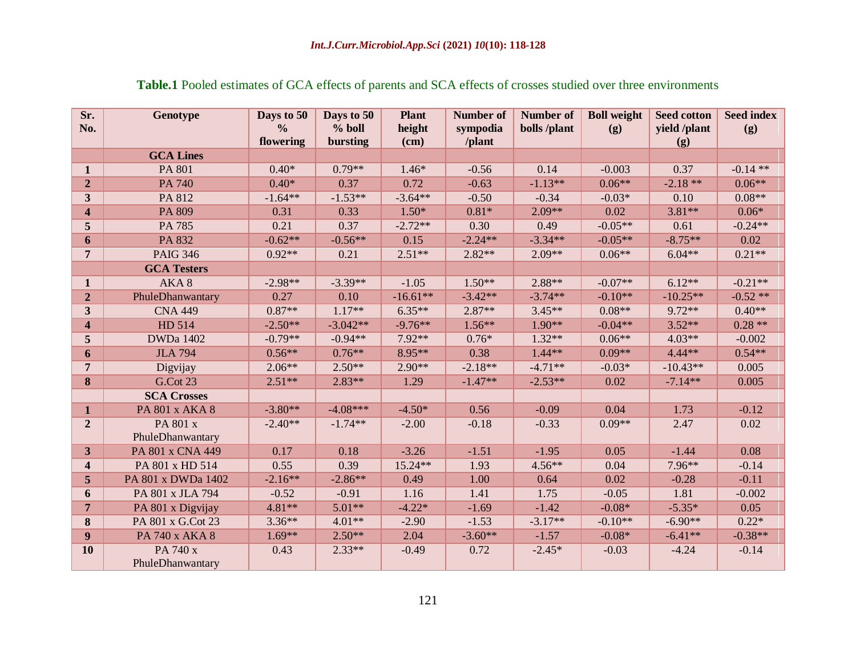| Sr.<br>No.              | Genotype           | Days to 50<br>$\frac{0}{0}$<br>flowering | Days to 50<br>% boll<br>bursting | <b>Plant</b><br>height<br>(cm) | <b>Number of</b><br>sympodia<br>/plant | Number of<br>bolls /plant | <b>Boll weight</b><br>(g) | <b>Seed cotton</b><br>yield /plant<br>(g) | <b>Seed index</b><br>(g) |
|-------------------------|--------------------|------------------------------------------|----------------------------------|--------------------------------|----------------------------------------|---------------------------|---------------------------|-------------------------------------------|--------------------------|
|                         | <b>GCA Lines</b>   |                                          |                                  |                                |                                        |                           |                           |                                           |                          |
| 1                       | <b>PA 801</b>      | $0.40*$                                  | $0.79**$                         | $1.46*$                        | $-0.56$                                | 0.14                      | $-0.003$                  | 0.37                                      | $-0.14**$                |
| $\boldsymbol{2}$        | PA 740             | $0.40*$                                  | 0.37                             | 0.72                           | $-0.63$                                | $-1.13**$                 | $0.06**$                  | $-2.18**$                                 | $0.06**$                 |
| 3                       | PA 812             | $-1.64**$                                | $-1.53**$                        | $-3.64**$                      | $-0.50$                                | $-0.34$                   | $-0.03*$                  | 0.10                                      | $0.08**$                 |
| 4                       | PA 809             | 0.31                                     | 0.33                             | $1.50*$                        | $0.81*$                                | $2.09**$                  | 0.02                      | $3.81**$                                  | $0.06*$                  |
| 5                       | PA 785             | 0.21                                     | 0.37                             | $-2.72**$                      | 0.30                                   | 0.49                      | $-0.05**$                 | 0.61                                      | $-0.24**$                |
| 6                       | PA 832             | $-0.62**$                                | $-0.56**$                        | 0.15                           | $-2.24**$                              | $-3.34**$                 | $-0.05**$                 | $-8.75**$                                 | 0.02                     |
| $\overline{7}$          | <b>PAIG 346</b>    | $0.92**$                                 | 0.21                             | $2.51**$                       | $2.82**$                               | $2.09**$                  | $0.06**$                  | $6.04**$                                  | $0.21**$                 |
|                         | <b>GCA Testers</b> |                                          |                                  |                                |                                        |                           |                           |                                           |                          |
| 1                       | AKA8               | $-2.98**$                                | $-3.39**$                        | $-1.05$                        | $1.50**$                               | $2.88**$                  | $-0.07**$                 | $6.12**$                                  | $-0.21**$                |
| $\overline{2}$          | PhuleDhanwantary   | 0.27                                     | 0.10                             | $-16.61**$                     | $-3.42**$                              | $-3.74**$                 | $-0.10**$                 | $-10.25**$                                | $-0.52**$                |
| 3                       | <b>CNA 449</b>     | $0.87**$                                 | $1.17**$                         | $6.35**$                       | $2.87**$                               | $3.45**$                  | $0.08**$                  | $9.72**$                                  | $0.40**$                 |
| $\overline{\mathbf{4}}$ | HD 514             | $-2.50**$                                | $-3.042**$                       | $-9.76**$                      | $1.56**$                               | $1.90**$                  | $-0.04**$                 | $3.52**$                                  | $0.28**$                 |
| 5                       | <b>DWDa 1402</b>   | $-0.79**$                                | $-0.94**$                        | 7.92**                         | $0.76*$                                | $1.32**$                  | $0.06**$                  | $4.03**$                                  | $-0.002$                 |
| 6                       | <b>JLA 794</b>     | $0.56**$                                 | $0.76**$                         | 8.95**                         | 0.38                                   | $1.44**$                  | $0.09**$                  | 4.44**                                    | $0.54**$                 |
| $\overline{7}$          | Digvijay           | $2.06**$                                 | $2.50**$                         | $2.90**$                       | $-2.18**$                              | $-4.71**$                 | $-0.03*$                  | $-10.43**$                                | 0.005                    |
| 8                       | <b>G.Cot 23</b>    | $2.51**$                                 | $2.83**$                         | 1.29                           | $-1.47**$                              | $-2.53**$                 | 0.02                      | $-7.14**$                                 | 0.005                    |
|                         | <b>SCA Crosses</b> |                                          |                                  |                                |                                        |                           |                           |                                           |                          |
| $\mathbf{1}$            | PA 801 x AKA 8     | $-3.80**$                                | $-4.08***$                       | $-4.50*$                       | 0.56                                   | $-0.09$                   | 0.04                      | 1.73                                      | $-0.12$                  |
| $\overline{2}$          | PA 801 x           | $-2.40**$                                | $-1.74**$                        | $-2.00$                        | $-0.18$                                | $-0.33$                   | $0.09**$                  | 2.47                                      | 0.02                     |
|                         | PhuleDhanwantary   |                                          |                                  |                                |                                        |                           |                           |                                           |                          |
| 3                       | PA 801 x CNA 449   | 0.17                                     | 0.18                             | $-3.26$                        | $-1.51$                                | $-1.95$                   | 0.05                      | $-1.44$                                   | 0.08                     |
| 4                       | PA 801 x HD 514    | 0.55                                     | 0.39                             | 15.24**                        | 1.93                                   | $4.56**$                  | 0.04                      | 7.96**                                    | $-0.14$                  |
| 5                       | PA 801 x DWDa 1402 | $-2.16**$                                | $-2.86**$                        | 0.49                           | 1.00                                   | 0.64                      | 0.02                      | $-0.28$                                   | $-0.11$                  |
| 6                       | PA 801 x JLA 794   | $-0.52$                                  | $-0.91$                          | 1.16                           | 1.41                                   | 1.75                      | $-0.05$                   | 1.81                                      | $-0.002$                 |
| $\overline{7}$          | PA 801 x Digvijay  | $4.81**$                                 | $5.01**$                         | $-4.22*$                       | $-1.69$                                | $-1.42$                   | $-0.08*$                  | $-5.35*$                                  | 0.05                     |
| 8                       | PA 801 x G.Cot 23  | $3.36**$                                 | $4.01**$                         | $-2.90$                        | $-1.53$                                | $-3.17**$                 | $-0.10**$                 | $-6.90**$                                 | $0.22*$                  |
| 9                       | PA 740 x AKA 8     | $1.69**$                                 | $2.50**$                         | 2.04                           | $-3.60**$                              | $-1.57$                   | $-0.08*$                  | $-6.41**$                                 | $-0.38**$                |
| 10                      | PA 740 x           | 0.43                                     | $2.33**$                         | $-0.49$                        | 0.72                                   | $-2.45*$                  | $-0.03$                   | $-4.24$                                   | $-0.14$                  |
|                         | PhuleDhanwantary   |                                          |                                  |                                |                                        |                           |                           |                                           |                          |

## **Table.1** Pooled estimates of GCA effects of parents and SCA effects of crosses studied over three environments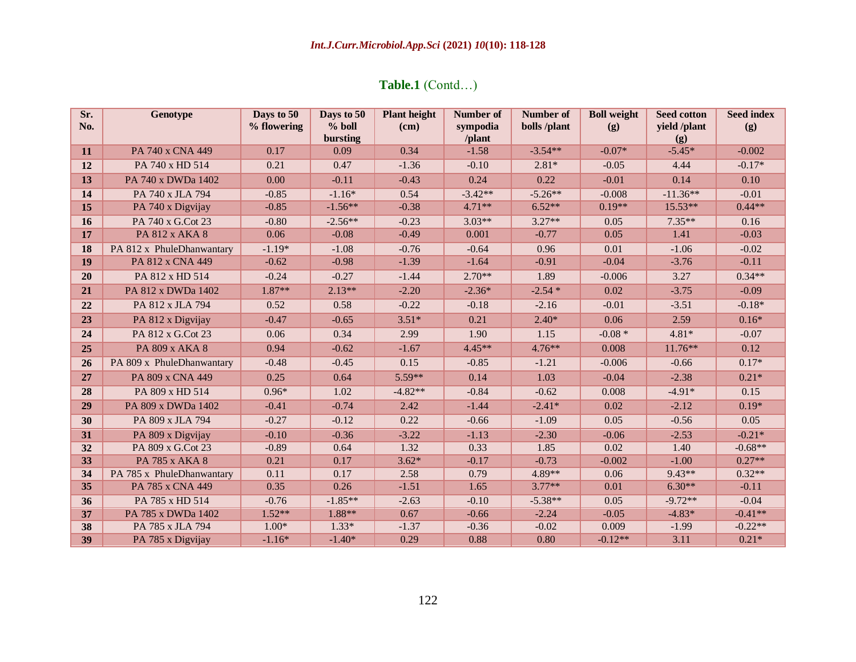# **Table.1** (Contd…)

| Sr.             | Genotype                  | Days to 50  | Days to 50 | <b>Plant height</b> | Number of | Number of    | <b>Boll weight</b> | <b>Seed cotton</b> | <b>Seed index</b> |
|-----------------|---------------------------|-------------|------------|---------------------|-----------|--------------|--------------------|--------------------|-------------------|
| No.             |                           | % flowering | $%$ boll   | (cm)                | sympodia  | bolls /plant | (g)                | yield /plant       | (g)               |
|                 |                           |             | bursting   |                     | /plant    |              |                    | (g)                |                   |
| 11              | PA 740 x CNA 449          | 0.17        | 0.09       | 0.34                | $-1.58$   | $-3.54**$    | $-0.07*$           | $-5.45*$           | $-0.002$          |
| 12              | PA 740 x HD 514           | 0.21        | 0.47       | $-1.36$             | $-0.10$   | $2.81*$      | $-0.05$            | 4.44               | $-0.17*$          |
| 13              | PA 740 x DWDa 1402        | 0.00        | $-0.11$    | $-0.43$             | 0.24      | 0.22         | $-0.01$            | 0.14               | 0.10              |
| 14              | PA 740 x JLA 794          | $-0.85$     | $-1.16*$   | 0.54                | $-3.42**$ | $-5.26**$    | $-0.008$           | $-11.36**$         | $-0.01$           |
| 15              | PA 740 x Digvijay         | $-0.85$     | $-1.56**$  | $-0.38$             | $4.71**$  | $6.52**$     | $0.19**$           | $15.53**$          | $0.44**$          |
| 16              | PA 740 x G.Cot 23         | $-0.80$     | $-2.56**$  | $-0.23$             | $3.03**$  | $3.27**$     | 0.05               | $7.35**$           | 0.16              |
| 17              | PA 812 x AKA 8            | 0.06        | $-0.08$    | $-0.49$             | 0.001     | $-0.77$      | 0.05               | 1.41               | $-0.03$           |
| 18              | PA 812 x PhuleDhanwantary | $-1.19*$    | $-1.08$    | $-0.76$             | $-0.64$   | 0.96         | 0.01               | $-1.06$            | $-0.02$           |
| 19              | PA 812 x CNA 449          | $-0.62$     | $-0.98$    | $-1.39$             | $-1.64$   | $-0.91$      | $-0.04$            | $-3.76$            | $-0.11$           |
| 20              | PA 812 x HD 514           | $-0.24$     | $-0.27$    | $-1.44$             | $2.70**$  | 1.89         | $-0.006$           | 3.27               | $0.34**$          |
| 21              | PA 812 x DWDa 1402        | $1.87**$    | $2.13**$   | $-2.20$             | $-2.36*$  | $-2.54*$     | 0.02               | $-3.75$            | $-0.09$           |
| 22              | PA 812 x JLA 794          | 0.52        | 0.58       | $-0.22$             | $-0.18$   | $-2.16$      | $-0.01$            | $-3.51$            | $-0.18*$          |
| 23              | PA 812 x Digvijay         | $-0.47$     | $-0.65$    | $3.51*$             | 0.21      | $2.40*$      | 0.06               | 2.59               | $0.16*$           |
| 24              | PA 812 x G.Cot 23         | 0.06        | 0.34       | 2.99                | 1.90      | 1.15         | $-0.08 *$          | $4.81*$            | $-0.07$           |
| 25              | PA 809 x AKA 8            | 0.94        | $-0.62$    | $-1.67$             | $4.45**$  | $4.76***$    | 0.008              | 11.76**            | 0.12              |
| 26              | PA 809 x PhuleDhanwantary | $-0.48$     | $-0.45$    | 0.15                | $-0.85$   | $-1.21$      | $-0.006$           | $-0.66$            | $0.17*$           |
| 27              | PA 809 x CNA 449          | 0.25        | 0.64       | $5.59**$            | 0.14      | 1.03         | $-0.04$            | $-2.38$            | $0.21*$           |
| 28              | PA 809 x HD 514           | $0.96*$     | 1.02       | $-4.82**$           | $-0.84$   | $-0.62$      | 0.008              | $-4.91*$           | 0.15              |
| 29              | PA 809 x DWDa 1402        | $-0.41$     | $-0.74$    | 2.42                | $-1.44$   | $-2.41*$     | 0.02               | $-2.12$            | $0.19*$           |
| 30              | PA 809 x JLA 794          | $-0.27$     | $-0.12$    | 0.22                | $-0.66$   | $-1.09$      | 0.05               | $-0.56$            | 0.05              |
| 31              | PA 809 x Digvijay         | $-0.10$     | $-0.36$    | $-3.22$             | $-1.13$   | $-2.30$      | $-0.06$            | $-2.53$            | $-0.21*$          |
| 32              | PA 809 x G.Cot 23         | $-0.89$     | 0.64       | 1.32                | 0.33      | 1.85         | 0.02               | 1.40               | $-0.68**$         |
| 33              | PA 785 x AKA 8            | 0.21        | 0.17       | $3.62*$             | $-0.17$   | $-0.73$      | $-0.002$           | $-1.00$            | $0.27**$          |
| 34              | PA 785 x PhuleDhanwantary | 0.11        | 0.17       | 2.58                | 0.79      | 4.89**       | 0.06               | $9.43**$           | $0.32**$          |
| $\overline{35}$ | PA 785 x CNA 449          | 0.35        | 0.26       | $-1.51$             | 1.65      | $3.77**$     | 0.01               | $6.30**$           | $-0.11$           |
| 36              | PA 785 x HD 514           | $-0.76$     | $-1.85**$  | $-2.63$             | $-0.10$   | $-5.38**$    | 0.05               | $-9.72**$          | $-0.04$           |
| 37              | PA 785 x DWDa 1402        | $1.52**$    | $1.88**$   | 0.67                | $-0.66$   | $-2.24$      | $-0.05$            | $-4.83*$           | $-0.41**$         |
| 38              | PA 785 x JLA 794          | $1.00*$     | $1.33*$    | $-1.37$             | $-0.36$   | $-0.02$      | 0.009              | $-1.99$            | $-0.22**$         |
| 39              | PA 785 x Digvijay         | $-1.16*$    | $-1.40*$   | 0.29                | 0.88      | 0.80         | $-0.12**$          | 3.11               | $0.21*$           |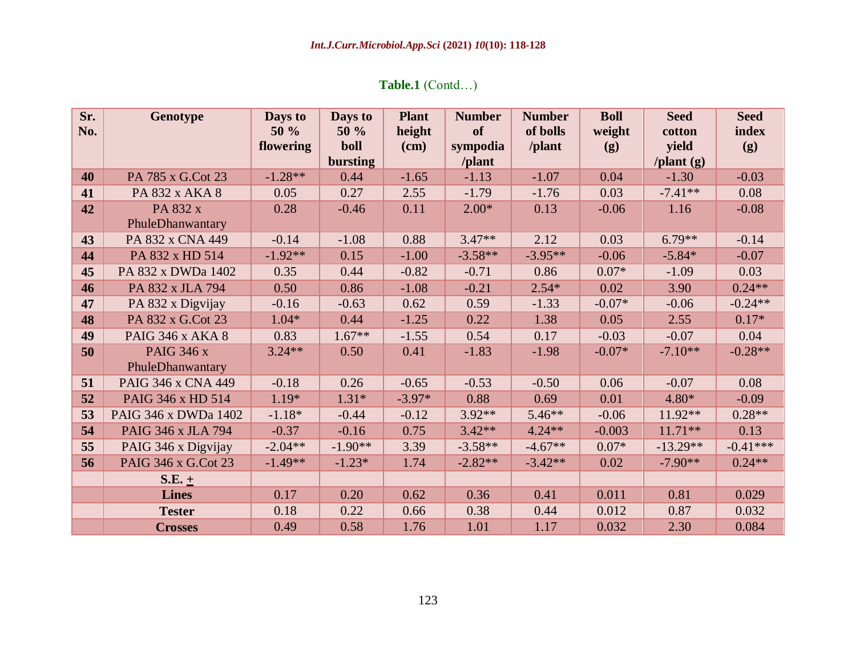| <b>Table.1</b> (Contd) |  |
|------------------------|--|
|                        |  |

| Sr.<br>No. | <b>Genotype</b>                       | Days to<br>50 %<br>flowering | Days to<br>50 %<br>boll<br>bursting | <b>Plant</b><br>height<br>(cm) | <b>Number</b><br><b>of</b><br>sympodia<br>/plant | <b>Number</b><br>of bolls<br>/plant | <b>Boll</b><br>weight<br>(g) | <b>Seed</b><br>cotton<br>yield<br>$\theta$ /plant (g) | <b>Seed</b><br>index<br>(g) |
|------------|---------------------------------------|------------------------------|-------------------------------------|--------------------------------|--------------------------------------------------|-------------------------------------|------------------------------|-------------------------------------------------------|-----------------------------|
| 40         | PA 785 x G.Cot 23                     | $-1.28**$                    | 0.44                                | $-1.65$                        | $-1.13$                                          | $-1.07$                             | 0.04                         | $-1.30$                                               | $-0.03$                     |
| 41         | PA 832 x AKA 8                        | 0.05                         | 0.27                                | 2.55                           | $-1.79$                                          | $-1.76$                             | 0.03                         | $-7.41**$                                             | 0.08                        |
| 42         | PA 832 x<br>PhuleDhanwantary          | 0.28                         | $-0.46$                             | 0.11                           | $2.00*$                                          | 0.13                                | $-0.06$                      | 1.16                                                  | $-0.08$                     |
| 43         | PA 832 x CNA 449                      | $-0.14$                      | $-1.08$                             | 0.88                           | $3.47**$                                         | 2.12                                | 0.03                         | $6.79**$                                              | $-0.14$                     |
| 44         | PA 832 x HD 514                       | $-1.92**$                    | 0.15                                | $-1.00$                        | $-3.58**$                                        | $-3.95**$                           | $-0.06$                      | $-5.84*$                                              | $-0.07$                     |
| 45         | PA 832 x DWDa 1402                    | 0.35                         | 0.44                                | $-0.82$                        | $-0.71$                                          | 0.86                                | $0.07*$                      | $-1.09$                                               | 0.03                        |
| 46         | PA 832 x JLA 794                      | 0.50                         | 0.86                                | $-1.08$                        | $-0.21$                                          | $2.54*$                             | 0.02                         | 3.90                                                  | $0.24**$                    |
| 47         | PA 832 x Digvijay                     | $-0.16$                      | $-0.63$                             | 0.62                           | 0.59                                             | $-1.33$                             | $-0.07*$                     | $-0.06$                                               | $-0.24**$                   |
| 48         | PA 832 x G.Cot 23                     | $1.04*$                      | 0.44                                | $-1.25$                        | 0.22                                             | 1.38                                | 0.05                         | 2.55                                                  | $0.17*$                     |
| 49         | <b>PAIG 346 x AKA 8</b>               | 0.83                         | $1.67**$                            | $-1.55$                        | 0.54                                             | 0.17                                | $-0.03$                      | $-0.07$                                               | 0.04                        |
| 50         | <b>PAIG 346 x</b><br>PhuleDhanwantary | $3.24**$                     | 0.50                                | 0.41                           | $-1.83$                                          | $-1.98$                             | $-0.07*$                     | $-7.10**$                                             | $-0.28**$                   |
| 51         | PAIG 346 x CNA 449                    | $-0.18$                      | 0.26                                | $-0.65$                        | $-0.53$                                          | $-0.50$                             | 0.06                         | $-0.07$                                               | 0.08                        |
| 52         | PAIG 346 x HD 514                     | 1.19*                        | $1.31*$                             | $-3.97*$                       | 0.88                                             | 0.69                                | 0.01                         | $4.80*$                                               | $-0.09$                     |
| 53         | PAIG 346 x DWDa 1402                  | $-1.18*$                     | $-0.44$                             | $-0.12$                        | $3.92**$                                         | $5.46**$                            | $-0.06$                      | 11.92**                                               | $0.28**$                    |
| 54         | PAIG 346 x JLA 794                    | $-0.37$                      | $-0.16$                             | 0.75                           | $3.42**$                                         | $4.24**$                            | $-0.003$                     | $11.71**$                                             | 0.13                        |
| 55         | PAIG 346 x Digvijay                   | $-2.04**$                    | $-1.90**$                           | 3.39                           | $-3.58**$                                        | $-4.67**$                           | $0.07*$                      | $-13.29**$                                            | $-0.41***$                  |
| 56         | PAIG 346 x G.Cot 23                   | $-1.49**$                    | $-1.23*$                            | 1.74                           | $-2.82**$                                        | $-3.42**$                           | 0.02                         | $-7.90**$                                             | $0.24**$                    |
|            | $S.E. \pm$                            |                              |                                     |                                |                                                  |                                     |                              |                                                       |                             |
|            | <b>Lines</b>                          | 0.17                         | 0.20                                | 0.62                           | 0.36                                             | 0.41                                | 0.011                        | 0.81                                                  | 0.029                       |
|            | <b>Tester</b>                         | 0.18                         | 0.22                                | 0.66                           | 0.38                                             | 0.44                                | 0.012                        | 0.87                                                  | 0.032                       |
|            | <b>Crosses</b>                        | 0.49                         | 0.58                                | 1.76                           | 1.01                                             | 1.17                                | 0.032                        | 2.30                                                  | 0.084                       |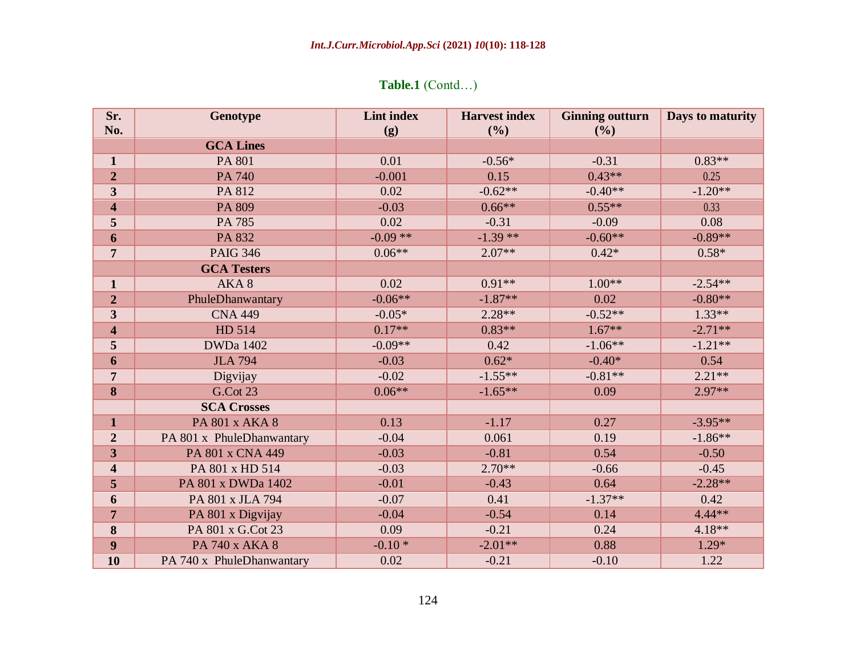# **Table.1** (Contd…)

| Sr.                     | <b>Genotype</b>           | <b>Lint index</b> | <b>Harvest index</b> | <b>Ginning outturn</b> | Days to maturity |
|-------------------------|---------------------------|-------------------|----------------------|------------------------|------------------|
| No.                     |                           | (g)               | (%)                  | (%)                    |                  |
|                         | <b>GCA Lines</b>          |                   |                      |                        |                  |
| $\mathbf{1}$            | <b>PA 801</b>             | 0.01              | $-0.56*$             | $-0.31$                | $0.83**$         |
| $\overline{2}$          | PA 740                    | $-0.001$          | 0.15                 | $0.43**$               | 0.25             |
| $\overline{\mathbf{3}}$ | PA 812                    | 0.02              | $-0.62**$            | $-0.40**$              | $-1.20**$        |
| $\overline{\mathbf{4}}$ | PA 809                    | $-0.03$           | $0.66**$             | $0.55**$               | 0.33             |
| 5                       | PA 785                    | 0.02              | $-0.31$              | $-0.09$                | 0.08             |
| 6                       | PA 832                    | $-0.09**$         | $-1.39**$            | $-0.60**$              | $-0.89**$        |
| $\overline{7}$          | <b>PAIG 346</b>           | $0.06**$          | $2.07**$             | $0.42*$                | $0.58*$          |
|                         | <b>GCA Testers</b>        |                   |                      |                        |                  |
| $\mathbf{1}$            | AKA8                      | 0.02              | $0.91**$             | $1.00**$               | $-2.54**$        |
| $\overline{2}$          | PhuleDhanwantary          | $-0.06**$         | $-1.87**$            | 0.02                   | $-0.80**$        |
| $\overline{\mathbf{3}}$ | <b>CNA 449</b>            | $-0.05*$          | $2.28**$             | $-0.52**$              | $1.33**$         |
| $\overline{\mathbf{4}}$ | HD 514                    | $0.17**$          | $0.83**$             | $1.67**$               | $-2.71**$        |
| 5                       | <b>DWDa 1402</b>          | $-0.09**$         | 0.42                 | $-1.06**$              | $-1.21**$        |
| 6                       | <b>JLA 794</b>            | $-0.03$           | $0.62*$              | $-0.40*$               | 0.54             |
| $\overline{7}$          | Digvijay                  | $-0.02$           | $-1.55**$            | $-0.81**$              | $2.21**$         |
| 8                       | <b>G.Cot 23</b>           | $0.06**$          | $-1.65**$            | 0.09                   | $2.97**$         |
|                         | <b>SCA Crosses</b>        |                   |                      |                        |                  |
| $\mathbf{1}$            | PA 801 x AKA 8            | 0.13              | $-1.17$              | 0.27                   | $-3.95**$        |
| $\overline{2}$          | PA 801 x PhuleDhanwantary | $-0.04$           | 0.061                | 0.19                   | $-1.86**$        |
| $\overline{\mathbf{3}}$ | PA 801 x CNA 449          | $-0.03$           | $-0.81$              | 0.54                   | $-0.50$          |
| $\overline{\mathbf{4}}$ | PA 801 x HD 514           | $-0.03$           | $2.70**$             | $-0.66$                | $-0.45$          |
| 5                       | PA 801 x DWDa 1402        | $-0.01$           | $-0.43$              | 0.64                   | $-2.28**$        |
| 6                       | PA 801 x JLA 794          | $-0.07$           | 0.41                 | $-1.37**$              | 0.42             |
| $\overline{7}$          | PA 801 x Digvijay         | $-0.04$           | $-0.54$              | 0.14                   | 4.44**           |
| 8                       | PA 801 x G.Cot 23         | 0.09              | $-0.21$              | 0.24                   | 4.18**           |
| 9                       | PA 740 x AKA 8            | $-0.10*$          | $-2.01**$            | 0.88                   | $1.29*$          |
| 10                      | PA 740 x PhuleDhanwantary | 0.02              | $-0.21$              | $-0.10$                | 1.22             |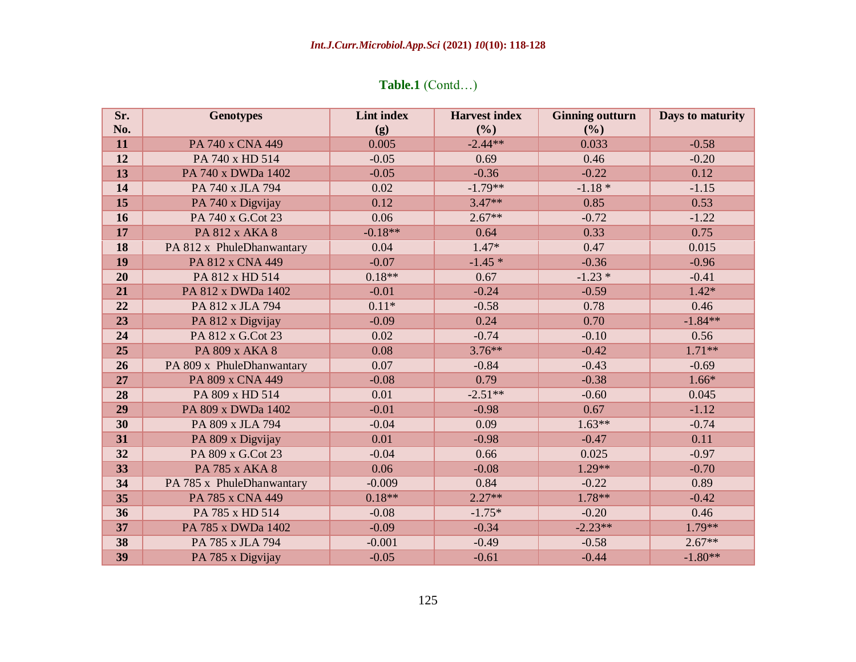# **Table.1** (Contd…)

| Sr. | <b>Genotypes</b>          | <b>Lint index</b> | <b>Harvest index</b> | <b>Ginning outturn</b> | Days to maturity |
|-----|---------------------------|-------------------|----------------------|------------------------|------------------|
| No. |                           | (g)               | (%)                  | (%)                    |                  |
| 11  | PA 740 x CNA 449          | 0.005             | $-2.44**$            | 0.033                  | $-0.58$          |
| 12  | PA 740 x HD 514           | $-0.05$           | 0.69                 | 0.46                   | $-0.20$          |
| 13  | PA 740 x DWDa 1402        | $-0.05$           | $-0.36$              | $-0.22$                | 0.12             |
| 14  | PA 740 x JLA 794          | 0.02              | $-1.79**$            | $-1.18*$               | $-1.15$          |
| 15  | PA 740 x Digvijay         | 0.12              | $3.47**$             | 0.85                   | 0.53             |
| 16  | PA 740 x G.Cot 23         | 0.06              | $2.67**$             | $-0.72$                | $-1.22$          |
| 17  | PA 812 x AKA 8            | $-0.18**$         | 0.64                 | 0.33                   | 0.75             |
| 18  | PA 812 x PhuleDhanwantary | 0.04              | $1.47*$              | 0.47                   | 0.015            |
| 19  | PA 812 x CNA 449          | $-0.07$           | $-1.45*$             | $-0.36$                | $-0.96$          |
| 20  | PA 812 x HD 514           | $0.18**$          | 0.67                 | $-1.23*$               | $-0.41$          |
| 21  | PA 812 x DWDa 1402        | $-0.01$           | $-0.24$              | $-0.59$                | $1.42*$          |
| 22  | PA 812 x JLA 794          | $0.11*$           | $-0.58$              | 0.78                   | 0.46             |
| 23  | PA 812 x Digvijay         | $-0.09$           | 0.24                 | 0.70                   | $-1.84**$        |
| 24  | PA 812 x G.Cot 23         | 0.02              | $-0.74$              | $-0.10$                | 0.56             |
| 25  | PA 809 x AKA 8            | 0.08              | $3.76***$            | $-0.42$                | $1.71**$         |
| 26  | PA 809 x PhuleDhanwantary | 0.07              | $-0.84$              | $-0.43$                | $-0.69$          |
| 27  | PA 809 x CNA 449          | $-0.08$           | 0.79                 | $-0.38$                | $1.66*$          |
| 28  | PA 809 x HD 514           | 0.01              | $-2.51**$            | $-0.60$                | 0.045            |
| 29  | PA 809 x DWDa 1402        | $-0.01$           | $-0.98$              | 0.67                   | $-1.12$          |
| 30  | PA 809 x JLA 794          | $-0.04$           | 0.09                 | $1.63**$               | $-0.74$          |
| 31  | PA 809 x Digvijay         | 0.01              | $-0.98$              | $-0.47$                | 0.11             |
| 32  | PA 809 x G.Cot 23         | $-0.04$           | 0.66                 | 0.025                  | $-0.97$          |
| 33  | PA 785 x AKA 8            | 0.06              | $-0.08$              | $1.29**$               | $-0.70$          |
| 34  | PA 785 x PhuleDhanwantary | $-0.009$          | 0.84                 | $-0.22$                | 0.89             |
| 35  | PA 785 x CNA 449          | $0.18**$          | $2.27**$             | $1.78**$               | $-0.42$          |
| 36  | PA 785 x HD 514           | $-0.08$           | $-1.75*$             | $-0.20$                | 0.46             |
| 37  | PA 785 x DWDa 1402        | $-0.09$           | $-0.34$              | $-2.23**$              | 1.79**           |
| 38  | PA 785 x JLA 794          | $-0.001$          | $-0.49$              | $-0.58$                | $2.67**$         |
| 39  | PA 785 x Digvijay         | $-0.05$           | $-0.61$              | $-0.44$                | $-1.80**$        |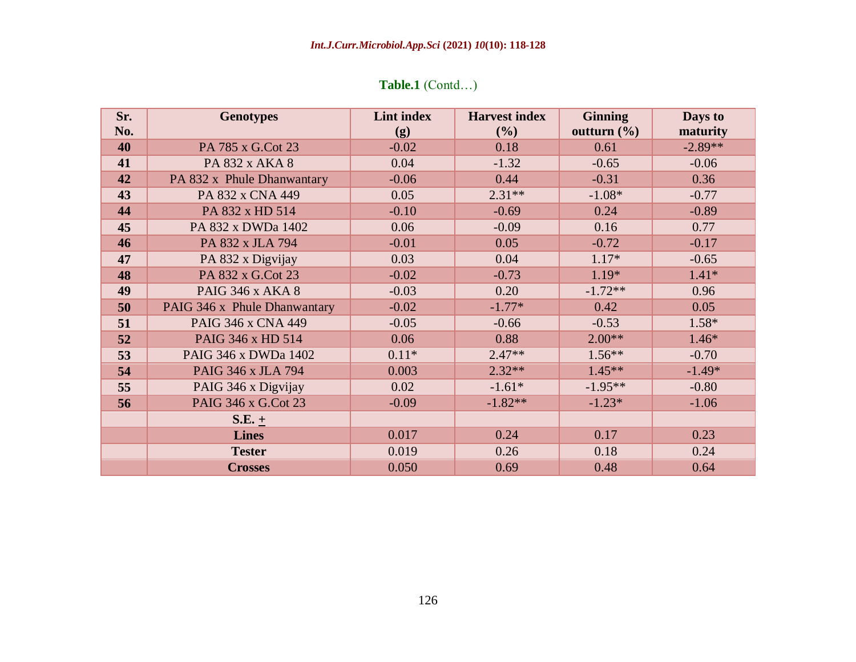| <b>Table.1</b> (Contd) |  |
|------------------------|--|
|                        |  |

| Sr. | <b>Genotypes</b>             | <b>Lint index</b> | <b>Harvest index</b> | <b>Ginning</b>  | Days to   |
|-----|------------------------------|-------------------|----------------------|-----------------|-----------|
| No. |                              | (g)               | (%)                  | outturn $(\% )$ | maturity  |
| 40  | PA 785 x G.Cot 23            | $-0.02$           | 0.18                 | 0.61            | $-2.89**$ |
| 41  | PA 832 x AKA 8               | 0.04              | $-1.32$              | $-0.65$         | $-0.06$   |
| 42  | PA 832 x Phule Dhanwantary   | $-0.06$           | 0.44                 | $-0.31$         | 0.36      |
| 43  | PA 832 x CNA 449             | 0.05              | $2.31**$             | $-1.08*$        | $-0.77$   |
| 44  | PA 832 x HD 514              | $-0.10$           | $-0.69$              | 0.24            | $-0.89$   |
| 45  | PA 832 x DWDa 1402           | 0.06              | $-0.09$              | 0.16            | 0.77      |
| 46  | PA 832 x JLA 794             | $-0.01$           | 0.05                 | $-0.72$         | $-0.17$   |
| 47  | PA 832 x Digvijay            | 0.03              | 0.04                 | $1.17*$         | $-0.65$   |
| 48  | PA 832 x G.Cot 23            | $-0.02$           | $-0.73$              | $1.19*$         | $1.41*$   |
| 49  | <b>PAIG 346 x AKA 8</b>      | $-0.03$           | 0.20                 | $-1.72**$       | 0.96      |
| 50  | PAIG 346 x Phule Dhanwantary | $-0.02$           | $-1.77*$             | 0.42            | 0.05      |
| 51  | PAIG 346 x CNA 449           | $-0.05$           | $-0.66$              | $-0.53$         | $1.58*$   |
| 52  | PAIG 346 x HD 514            | 0.06              | 0.88                 | $2.00**$        | $1.46*$   |
| 53  | PAIG 346 x DWDa 1402         | $0.11*$           | $2.47**$             | $1.56**$        | $-0.70$   |
| 54  | PAIG 346 x JLA 794           | 0.003             | $2.32**$             | $1.45**$        | $-1.49*$  |
| 55  | PAIG 346 x Digvijay          | 0.02              | $-1.61*$             | $-1.95**$       | $-0.80$   |
| 56  | PAIG 346 x G.Cot 23          | $-0.09$           | $-1.82**$            | $-1.23*$        | $-1.06$   |
|     | $S.E. \pm$                   |                   |                      |                 |           |
|     | <b>Lines</b>                 | 0.017             | 0.24                 | 0.17            | 0.23      |
|     | <b>Tester</b>                | 0.019             | 0.26                 | 0.18            | 0.24      |
|     | <b>Crosses</b>               | 0.050             | 0.69                 | 0.48            | 0.64      |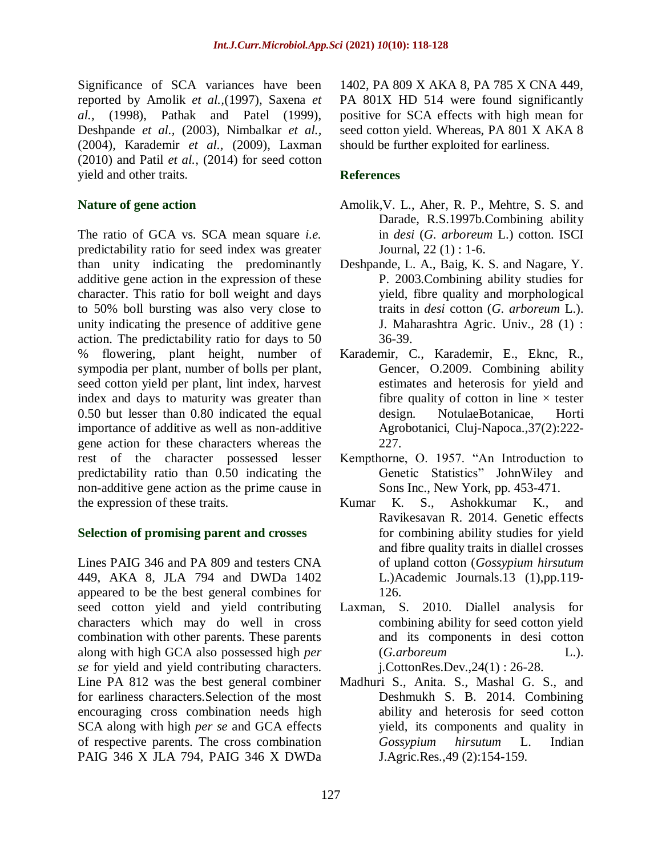Significance of SCA variances have been reported by Amolik *et al.,*(1997), Saxena *et al.,* (1998), Pathak and Patel (1999), Deshpande *et al.,* (2003), Nimbalkar *et al.,*  (2004), Karademir *et al.,* (2009), Laxman (2010) and Patil *et al.,* (2014) for seed cotton yield and other traits.

#### **Nature of gene action**

The ratio of GCA vs. SCA mean square *i.e.* predictability ratio for seed index was greater than unity indicating the predominantly additive gene action in the expression of these character. This ratio for boll weight and days to 50% boll bursting was also very close to unity indicating the presence of additive gene action. The predictability ratio for days to 50 % flowering, plant height, number of sympodia per plant, number of bolls per plant, seed cotton yield per plant, lint index, harvest index and days to maturity was greater than 0.50 but lesser than 0.80 indicated the equal importance of additive as well as non-additive gene action for these characters whereas the rest of the character possessed lesser predictability ratio than 0.50 indicating the non-additive gene action as the prime cause in the expression of these traits.

#### **Selection of promising parent and crosses**

Lines PAIG 346 and PA 809 and testers CNA 449, AKA 8, JLA 794 and DWDa 1402 appeared to be the best general combines for seed cotton yield and yield contributing characters which may do well in cross combination with other parents. These parents along with high GCA also possessed high *per se* for yield and yield contributing characters. Line PA 812 was the best general combiner for earliness characters.Selection of the most encouraging cross combination needs high SCA along with high *per se* and GCA effects of respective parents. The cross combination PAIG 346 X JLA 794, PAIG 346 X DWDa 1402, PA 809 X AKA 8, PA 785 X CNA 449, PA 801X HD 514 were found significantly positive for SCA effects with high mean for seed cotton yield. Whereas, PA 801 X AKA 8 should be further exploited for earliness.

#### **References**

- Amolik,V. L., Aher, R. P., Mehtre, S. S. and Darade, R.S.1997b.Combining ability in *desi* (*G. arboreum* L.) cotton. ISCI Journal, 22 (1) : 1-6.
- Deshpande, L. A., Baig, K. S. and Nagare, Y. P. 2003.Combining ability studies for yield, fibre quality and morphological traits in *desi* cotton (*G. arboreum* L.). J. Maharashtra Agric. Univ., 28 (1) : 36-39.
- Karademir, C., Karademir, E., Eknc, R., Gencer, O.2009. Combining ability estimates and heterosis for yield and fibre quality of cotton in line  $\times$  tester design. NotulaeBotanicae, Horti Agrobotanici, Cluj-Napoca.,37(2):222- 227.
- Kempthorne, O. 1957. "An Introduction to Genetic Statistics" JohnWiley and Sons Inc., New York, pp. 453-471.
- Kumar K. S., Ashokkumar K., and Ravikesavan R. 2014. Genetic effects for combining ability studies for yield and fibre quality traits in diallel crosses of upland cotton (*Gossypium hirsutum* L.)Academic Journals.13 (1),pp.119- 126.
- Laxman, S. 2010. Diallel analysis for combining ability for seed cotton yield and its components in desi cotton (*G.arboreum* L.). j.CottonRes.Dev.,24(1) : 26-28.
- Madhuri S., Anita. S., Mashal G. S., and Deshmukh S. B. 2014. Combining ability and heterosis for seed cotton yield, its components and quality in *Gossypium hirsutum* L. Indian J.Agric.Res.,49 (2):154-159.